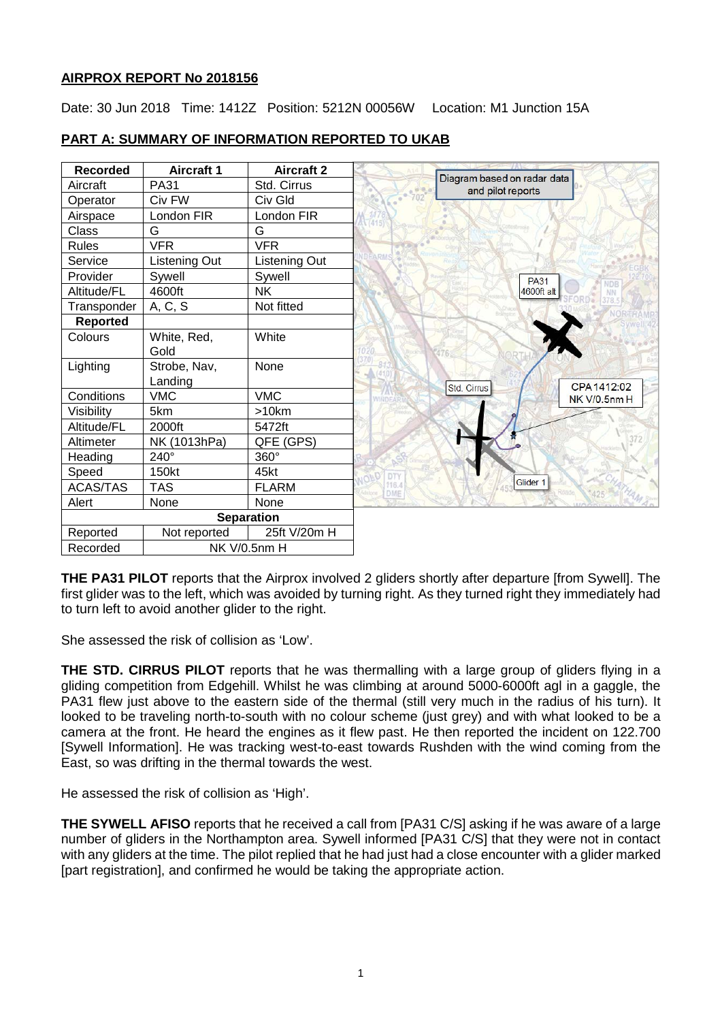# **AIRPROX REPORT No 2018156**

Date: 30 Jun 2018 Time: 1412Z Position: 5212N 00056W Location: M1 Junction 15A



# **PART A: SUMMARY OF INFORMATION REPORTED TO UKAB**

**THE PA31 PILOT** reports that the Airprox involved 2 gliders shortly after departure [from Sywell]. The first glider was to the left, which was avoided by turning right. As they turned right they immediately had to turn left to avoid another glider to the right.

She assessed the risk of collision as 'Low'.

**THE STD. CIRRUS PILOT** reports that he was thermalling with a large group of gliders flying in a gliding competition from Edgehill. Whilst he was climbing at around 5000-6000ft agl in a gaggle, the PA31 flew just above to the eastern side of the thermal (still very much in the radius of his turn). It looked to be traveling north-to-south with no colour scheme (just grey) and with what looked to be a camera at the front. He heard the engines as it flew past. He then reported the incident on 122.700 [Sywell Information]. He was tracking west-to-east towards Rushden with the wind coming from the East, so was drifting in the thermal towards the west.

He assessed the risk of collision as 'High'.

**THE SYWELL AFISO** reports that he received a call from [PA31 C/S] asking if he was aware of a large number of gliders in the Northampton area. Sywell informed [PA31 C/S] that they were not in contact with any gliders at the time. The pilot replied that he had just had a close encounter with a glider marked [part registration], and confirmed he would be taking the appropriate action.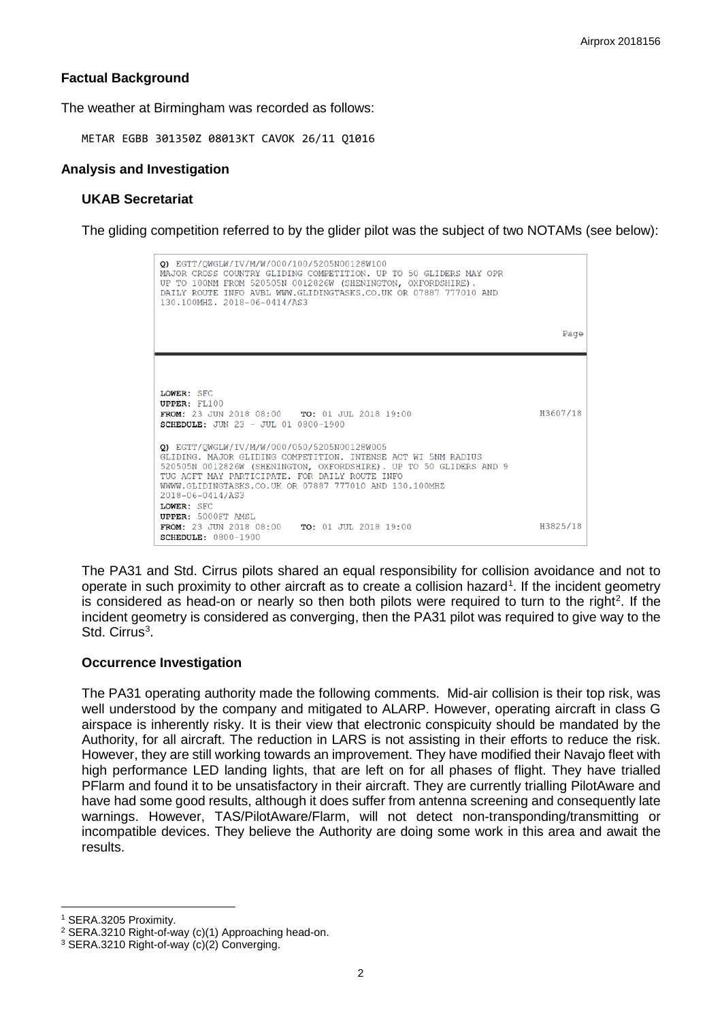## **Factual Background**

The weather at Birmingham was recorded as follows:

METAR EGBB 301350Z 08013KT CAVOK 26/11 Q1016

### **Analysis and Investigation**

### **UKAB Secretariat**

The gliding competition referred to by the glider pilot was the subject of two NOTAMs (see below):



The PA31 and Std. Cirrus pilots shared an equal responsibility for collision avoidance and not to operate in such proximity to other aircraft as to create a collision hazard<sup>[1](#page-1-0)</sup>. If the incident geometry is considered as head-on or nearly so then both pilots were required to turn to the right<sup>[2](#page-1-1)</sup>. If the incident geometry is considered as converging, then the PA31 pilot was required to give way to the Std. Cirrus<sup>[3](#page-1-2)</sup>.

### **Occurrence Investigation**

The PA31 operating authority made the following comments. Mid-air collision is their top risk, was well understood by the company and mitigated to ALARP. However, operating aircraft in class G airspace is inherently risky. It is their view that electronic conspicuity should be mandated by the Authority, for all aircraft. The reduction in LARS is not assisting in their efforts to reduce the risk. However, they are still working towards an improvement. They have modified their Navajo fleet with high performance LED landing lights, that are left on for all phases of flight. They have trialled PFlarm and found it to be unsatisfactory in their aircraft. They are currently trialling PilotAware and have had some good results, although it does suffer from antenna screening and consequently late warnings. However, TAS/PilotAware/Flarm, will not detect non-transponding/transmitting or incompatible devices. They believe the Authority are doing some work in this area and await the results.

 $\overline{\phantom{a}}$ 

<span id="page-1-0"></span><sup>1</sup> SERA.3205 Proximity.

<span id="page-1-1"></span><sup>2</sup> SERA.3210 Right-of-way (c)(1) Approaching head-on.

<span id="page-1-2"></span><sup>3</sup> SERA.3210 Right-of-way (c)(2) Converging.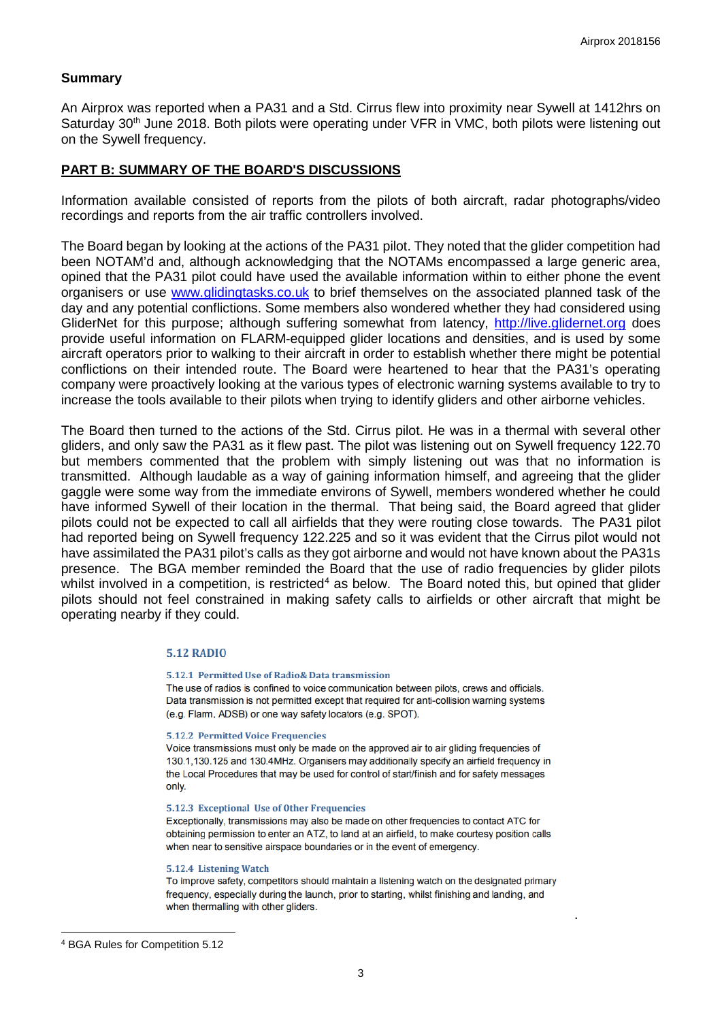### **Summary**

An Airprox was reported when a PA31 and a Std. Cirrus flew into proximity near Sywell at 1412hrs on Saturday 30<sup>th</sup> June 2018. Both pilots were operating under VFR in VMC, both pilots were listening out on the Sywell frequency.

### **PART B: SUMMARY OF THE BOARD'S DISCUSSIONS**

Information available consisted of reports from the pilots of both aircraft, radar photographs/video recordings and reports from the air traffic controllers involved.

The Board began by looking at the actions of the PA31 pilot. They noted that the glider competition had been NOTAM'd and, although acknowledging that the NOTAMs encompassed a large generic area. opined that the PA31 pilot could have used the available information within to either phone the event organisers or use [www.glidingtasks.co.uk](http://www.glidingtasks.co.uk/) to brief themselves on the associated planned task of the day and any potential conflictions. Some members also wondered whether they had considered using GliderNet for this purpose; although suffering somewhat from latency, [http://live.glidernet.org](http://live.glidernet.org/) does provide useful information on FLARM-equipped glider locations and densities, and is used by some aircraft operators prior to walking to their aircraft in order to establish whether there might be potential conflictions on their intended route. The Board were heartened to hear that the PA31's operating company were proactively looking at the various types of electronic warning systems available to try to increase the tools available to their pilots when trying to identify gliders and other airborne vehicles.

The Board then turned to the actions of the Std. Cirrus pilot. He was in a thermal with several other gliders, and only saw the PA31 as it flew past. The pilot was listening out on Sywell frequency 122.70 but members commented that the problem with simply listening out was that no information is transmitted. Although laudable as a way of gaining information himself, and agreeing that the glider gaggle were some way from the immediate environs of Sywell, members wondered whether he could have informed Sywell of their location in the thermal. That being said, the Board agreed that glider pilots could not be expected to call all airfields that they were routing close towards. The PA31 pilot had reported being on Sywell frequency 122.225 and so it was evident that the Cirrus pilot would not have assimilated the PA31 pilot's calls as they got airborne and would not have known about the PA31s presence. The BGA member reminded the Board that the use of radio frequencies by glider pilots whilst involved in a competition, is restricted<sup>[4](#page-2-0)</sup> as below. The Board noted this, but opined that glider pilots should not feel constrained in making safety calls to airfields or other aircraft that might be operating nearby if they could.

#### **5.12 RADIO**

#### 5.12.1 Permitted Use of Radio& Data transmission

The use of radios is confined to voice communication between pilots, crews and officials. Data transmission is not permitted except that required for anti-collision warning systems (e.g. Flarm, ADSB) or one way safety locators (e.g. SPOT).

#### **5.12.2 Permitted Voice Frequencies**

Voice transmissions must only be made on the approved air to air gliding frequencies of 130.1,130.125 and 130.4MHz. Organisers may additionally specify an airfield frequency in the Local Procedures that may be used for control of start/finish and for safety messages only.

#### 5.12.3 Exceptional Use of Other Frequencies

Exceptionally, transmissions may also be made on other frequencies to contact ATC for obtaining permission to enter an ATZ, to land at an airfield, to make courtesy position calls when near to sensitive airspace boundaries or in the event of emergency.

#### 5.12.4 Listening Watch

To improve safety, competitors should maintain a listening watch on the designated primary frequency, especially during the launch, prior to starting, whilst finishing and landing, and when thermalling with other gliders.

.

 $\overline{\phantom{a}}$ 

<span id="page-2-0"></span><sup>4</sup> BGA Rules for Competition 5.12